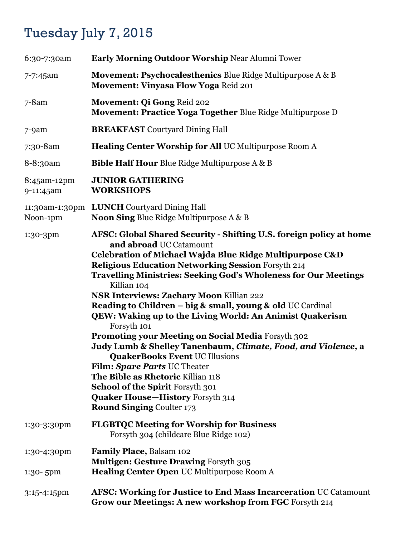## Tuesday July 7, 2015

| 6:30-7:30am                | <b>Early Morning Outdoor Worship Near Alumni Tower</b>                                                                                                                                                                                                                                                                                                                                                                                                                                                                                                                                                                                                                                                                                                                                                                                                               |
|----------------------------|----------------------------------------------------------------------------------------------------------------------------------------------------------------------------------------------------------------------------------------------------------------------------------------------------------------------------------------------------------------------------------------------------------------------------------------------------------------------------------------------------------------------------------------------------------------------------------------------------------------------------------------------------------------------------------------------------------------------------------------------------------------------------------------------------------------------------------------------------------------------|
| 7-7:45am                   | <b>Movement: Psychocalesthenics Blue Ridge Multipurpose A &amp; B</b><br><b>Movement: Vinyasa Flow Yoga Reid 201</b>                                                                                                                                                                                                                                                                                                                                                                                                                                                                                                                                                                                                                                                                                                                                                 |
| $7 - 8$ am                 | Movement: Qi Gong Reid 202<br>Movement: Practice Yoga Together Blue Ridge Multipurpose D                                                                                                                                                                                                                                                                                                                                                                                                                                                                                                                                                                                                                                                                                                                                                                             |
| $7-9am$                    | <b>BREAKFAST</b> Courtyard Dining Hall                                                                                                                                                                                                                                                                                                                                                                                                                                                                                                                                                                                                                                                                                                                                                                                                                               |
| 7:30-8am                   | <b>Healing Center Worship for All UC Multipurpose Room A</b>                                                                                                                                                                                                                                                                                                                                                                                                                                                                                                                                                                                                                                                                                                                                                                                                         |
| 8-8:30am                   | <b>Bible Half Hour Blue Ridge Multipurpose A &amp; B</b>                                                                                                                                                                                                                                                                                                                                                                                                                                                                                                                                                                                                                                                                                                                                                                                                             |
| 8:45am-12pm<br>9-11:45am   | <b>JUNIOR GATHERING</b><br><b>WORKSHOPS</b>                                                                                                                                                                                                                                                                                                                                                                                                                                                                                                                                                                                                                                                                                                                                                                                                                          |
| Noon-1pm                   | 11:30am-1:30pm LUNCH Courtyard Dining Hall<br><b>Noon Sing Blue Ridge Multipurpose A &amp; B</b>                                                                                                                                                                                                                                                                                                                                                                                                                                                                                                                                                                                                                                                                                                                                                                     |
| 1:30-3pm                   | AFSC: Global Shared Security - Shifting U.S. foreign policy at home<br>and abroad UC Catamount<br>Celebration of Michael Wajda Blue Ridge Multipurpose C&D<br><b>Religious Education Networking Session Forsyth 214</b><br><b>Travelling Ministries: Seeking God's Wholeness for Our Meetings</b><br>Killian 104<br><b>NSR Interviews: Zachary Moon Killian 222</b><br>Reading to Children - big & small, young & old UC Cardinal<br>QEW: Waking up to the Living World: An Animist Quakerism<br>Forsyth 101<br>Promoting your Meeting on Social Media Forsyth 302<br>Judy Lumb & Shelley Tanenbaum, Climate, Food, and Violence, a<br><b>QuakerBooks Event UC Illusions</b><br>Film: Spare Parts UC Theater<br>The Bible as Rhetoric Killian 118<br>School of the Spirit Forsyth 301<br><b>Quaker House-History Forsyth 314</b><br><b>Round Singing Coulter 173</b> |
| 1:30-3:30pm                | <b>FLGBTQC Meeting for Worship for Business</b><br>Forsyth 304 (childcare Blue Ridge 102)                                                                                                                                                                                                                                                                                                                                                                                                                                                                                                                                                                                                                                                                                                                                                                            |
| 1:30-4:30pm<br>$1:30-5$ pm | Family Place, Balsam 102<br><b>Multigen: Gesture Drawing Forsyth 305</b><br>Healing Center Open UC Multipurpose Room A                                                                                                                                                                                                                                                                                                                                                                                                                                                                                                                                                                                                                                                                                                                                               |
| 3:15-4:15pm                | <b>AFSC: Working for Justice to End Mass Incarceration UC Catamount</b><br>Grow our Meetings: A new workshop from FGC Forsyth 214                                                                                                                                                                                                                                                                                                                                                                                                                                                                                                                                                                                                                                                                                                                                    |